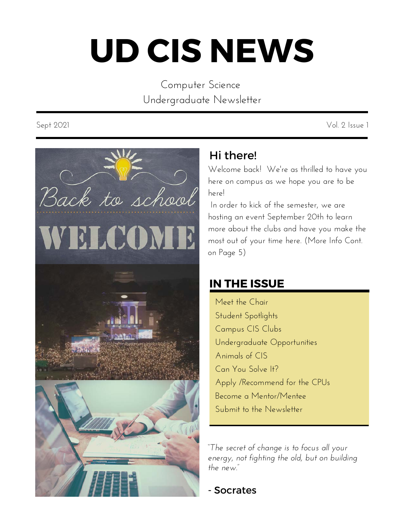# **UD CIS NEWS**

Computer Science Undergraduate Newsletter

Sept 2021 Vol. 2 Issue 1



# Hi there!

Welcome back! We're as thrilled to have you here on campus as we hope you are to be here!

In order to kick of the semester, we are hosting an event September 20th to learn more about the clubs and have you make the most out of your time here. (More Info Cont. on Page 5)

# **IN THE ISSUE**

Meet the Chair Student Spotlights Campus CIS Clubs Undergraduate Opportunities Animals of CIS Can You Solve It? Apply /Recommend for the CPUs Become a Mentor/Mentee Submit to the Newsletter

*"The secret of change is to focus all your energy, not fighting the old, but on building the new."*

- Socrates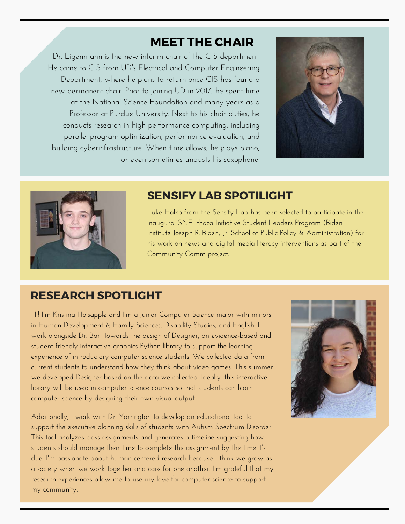#### **MEET THE CHAIR**

Dr. Eigenmann is the new interim chair of the CIS department. He came to CIS from UD's Electrical and Computer Engineering Department, where he plans to return once CIS has found a new permanent chair. Prior to joining UD in 2017, he spent time at the National Science Foundation and many years as a Professor at Purdue University. Next to his chair duties, he conducts research in high-performance computing, including parallel program optimization, performance evaluation, and building cyberinfrastructure. When time allows, he plays piano, or even sometimes undusts his saxophone.





#### **SENSIFY LAB SPOTILIGHT**

Luke Halko from the Sensify Lab has been selected to participate in the inaugural [SNF Ithaca Initiative Student Leaders Program](https://www.bidenschool.udel.edu/research-public-service/stavros-niarchos-foundation-ithaca-initiative/snf-ithaca-student-leaders-program) (Biden Institute Joseph R. Biden, Jr. School of Public Policy & Administration) for his work on news and digital media literacy interventions as part of the [Community Comm](https://sensifylab.cis.udel.edu/) project.

#### **RESEARCH SPOTLIGHT**

Hi! I'm Kristina Holsapple and I'm a junior Computer Science major with minors in Human Development & Family Sciences, Disability Studies, and English. I work alongside Dr. Bart towards the design of Designer, an evidence-based and student-friendly interactive graphics Python library to support the learning experience of introductory computer science students. We collected data from current students to understand how they think about video games. This summer we developed Designer based on the data we collected. Ideally, this interactive library will be used in computer science courses so that students can learn computer science by designing their own visual output.

Additionally, I work with Dr. Yarrington to develop an educational tool to support the executive planning skills of students with Autism Spectrum Disorder. This tool analyzes class assignments and generates a timeline suggesting how students should manage their time to complete the assignment by the time it's due. I'm passionate about human-centered research because I think we grow as a society when we work together and care for one another. I'm grateful that my research experiences allow me to use my love for computer science to support my community.

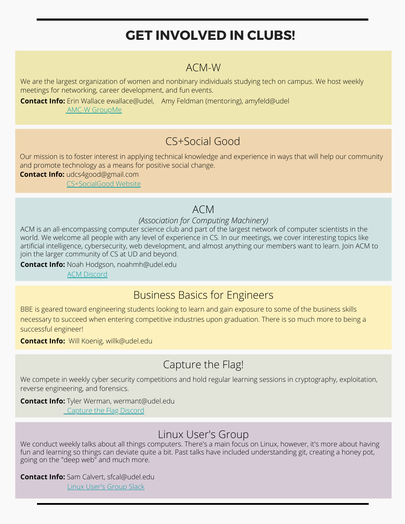# **GET INVOLVED IN CLUBS!**

#### ACM-W

We are the largest organization of women and nonbinary individuals studying tech on campus. We host weekly meetings for networking, career development, and fun events.

**Contact Info:** Erin Wallace ewallace@udel, Amy Feldman (mentoring), amyfeld@udel  [AMC-W GroupMe](https://groupme.com/join_group/55338906/ftvjh6vH)

# CS+Social Good

Our mission is to foster interest in applying technical knowledge and experience in ways that will help our community and promote technology as a means for positive social change.

**Contact Info:** udcs4good@gmail.com  [CS+SocialGood Website](https://ud-cs-social-good.github.io/)

#### ACM

#### *(Association for Computing Machinery)*

ACM is an all-encompassing computer science club and part of the largest network of computer scientists in the world. We welcome all people with any level of experience in CS. In our meetings, we cover interesting topics like artificial intelligence, cybersecurity, web development, and almost anything our members want to learn. Join ACM to join the larger community of CS at UD and beyond.

**Contact Info:** Noah Hodgson, noahmh@udel.edu

[ACM Discord](https://discord.gg/JdMjsMB)

#### Business Basics for Engineers

BBE is geared toward engineering students looking to learn and gain exposure to some of the business skills necessary to succeed when entering competitive industries upon graduation. There is so much more to being a successful engineer!

**Contact Info:** Will Koenig, willk@udel.edu

#### Capture the Flag!

We compete in weekly cyber security competitions and hold regular learning sessions in cryptography, exploitation, reverse engineering, and forensics.

#### **Contact Info:** Tyler Werman, wermant@udel.edu

**Capturethe Flag Discord** 

#### Linux User's Group

We conduct weekly talks about all things computers. There's a main focus on Linux, however, it's more about having fun and learning so things can deviate quite a bit. Past talks have included understanding git, creating a honey pot, going on the "deep web" and much more.

**Contact Info:** Sam Calvert, sfcal@udel.edu Linux User's Group Slack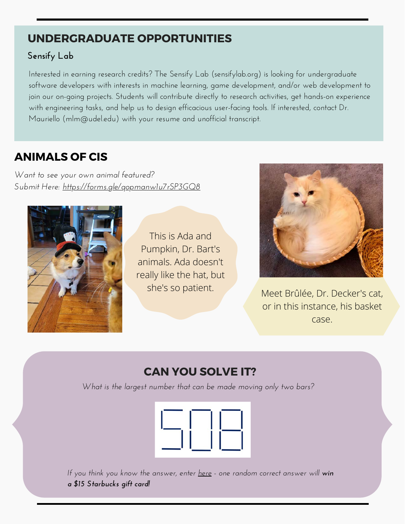#### **UNDERGRADUATE OPPORTUNITIES**

#### **Sensify Lab**

Interested in earning research credits? The Sensify Lab [\(sensifylab.org\)](http://sensifylab.org/) is looking for undergraduate software developers with interests in machine learning, game development, and/or web development to join our on-going projects. Students will contribute directly to research activities, get hands-on experience with engineering tasks, and help us to design efficacious user-facing tools. If interested, contact Dr. Mauriello [\(mlm@udel.edu](mailto:mlm@udel.edu)) with your resume and unofficial transcript.

# **ANIMALS OF CIS**

*Want to see your own animal featured? Submit Here:<https://forms.gle/qopmanw1u7rSP3GQ8>*



This is Ada and Pumpkin, Dr. Bart's animals. Ada doesn't really like the hat, but



she's so patient. Meet Brûlée, Dr. Decker's cat, or in this instance, his basket case.

# **CAN YOU SOLVE IT?**

*What is the largest number that can be made moving only two bars?*



*If you think you know the answer, enter [here](https://docs.google.com/forms/d/e/1FAIpQLSfNHF9PUg83FdEKhbRgifY2t72X8ihVvBQ9t4ELbc3VtVe7tw/viewform?usp=sf_link) - one random correct answer will win a \$15 Starbucks gift card!*